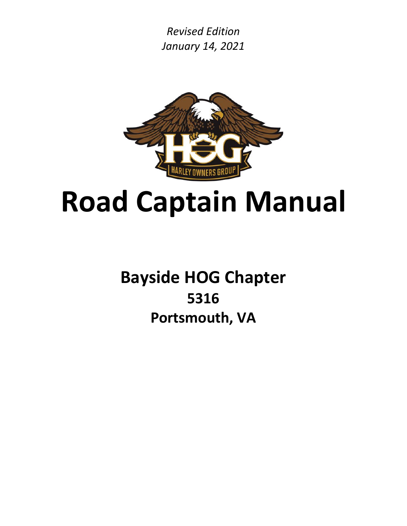*Revised Edition January 14, 2021*



# **Road Captain Manual**

**Bayside HOG Chapter 5316 Portsmouth, VA**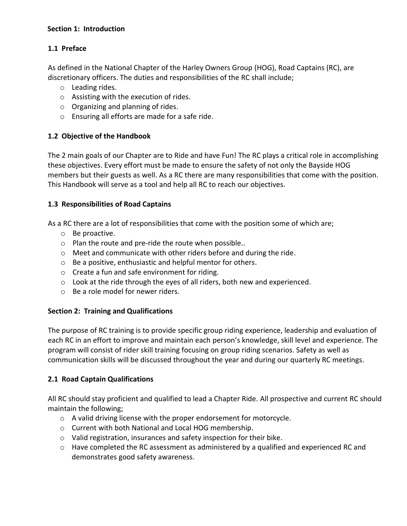#### **Section 1: Introduction**

#### **1.1 Preface**

As defined in the National Chapter of the Harley Owners Group (HOG), Road Captains (RC), are discretionary officers. The duties and responsibilities of the RC shall include;

- o Leading rides.
- o Assisting with the execution of rides.
- o Organizing and planning of rides.
- o Ensuring all efforts are made for a safe ride.

#### **1.2 Objective of the Handbook**

The 2 main goals of our Chapter are to Ride and have Fun! The RC plays a critical role in accomplishing these objectives. Every effort must be made to ensure the safety of not only the Bayside HOG members but their guests as well. As a RC there are many responsibilities that come with the position. This Handbook will serve as a tool and help all RC to reach our objectives.

#### **1.3 Responsibilities of Road Captains**

As a RC there are a lot of responsibilities that come with the position some of which are;

- o Be proactive.
- o Plan the route and pre-ride the route when possible..
- o Meet and communicate with other riders before and during the ride.
- o Be a positive, enthusiastic and helpful mentor for others.
- o Create a fun and safe environment for riding.
- $\circ$  Look at the ride through the eyes of all riders, both new and experienced.
- o Be a role model for newer riders.

#### **Section 2: Training and Qualifications**

The purpose of RC training is to provide specific group riding experience, leadership and evaluation of each RC in an effort to improve and maintain each person's knowledge, skill level and experience. The program will consist of rider skill training focusing on group riding scenarios. Safety as well as communication skills will be discussed throughout the year and during our quarterly RC meetings.

#### **2.1 Road Captain Qualifications**

All RC should stay proficient and qualified to lead a Chapter Ride. All prospective and current RC should maintain the following;

- o A valid driving license with the proper endorsement for motorcycle.
- o Current with both National and Local HOG membership.
- o Valid registration, insurances and safety inspection for their bike.
- $\circ$  Have completed the RC assessment as administered by a qualified and experienced RC and demonstrates good safety awareness.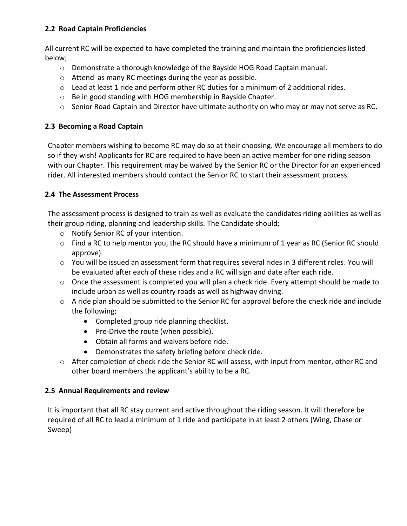#### **2.2 Road Captain Proficiencies**

All current RC will be expected to have completed the training and maintain the proficiencies listed below;

- o Demonstrate a thorough knowledge of the Bayside HOG Road Captain manual.
- o Attend as many RC meetings during the year as possible.
- o Lead at least 1 ride and perform other RC duties for a minimum of 2 additional rides.
- o Be in good standing with HOG membership in Bayside Chapter.
- $\circ$  Senior Road Captain and Director have ultimate authority on who may or may not serve as RC.

#### **2.3 Becoming a Road Captain**

Chapter members wishing to become RC may do so at their choosing. We encourage all members to do so if they wish! Applicants for RC are required to have been an active member for one riding season with our Chapter. This requirement may be waived by the Senior RC or the Director for an experienced rider. All interested members should contact the Senior RC to start their assessment process.

#### **2.4 The Assessment Process**

The assessment process is designed to train as well as evaluate the candidates riding abilities as well as their group riding, planning and leadership skills. The Candidate should;

- o Notify Senior RC of your intention.
- o Find a RC to help mentor you, the RC should have a minimum of 1 year as RC (Senior RC should approve).
- o You will be issued an assessment form that requires several rides in 3 different roles. You will be evaluated after each of these rides and a RC will sign and date after each ride.
- $\circ$  Once the assessment is completed you will plan a check ride. Every attempt should be made to include urban as well as country roads as well as highway driving.
- $\circ$  A ride plan should be submitted to the Senior RC for approval before the check ride and include the following;
	- Completed group ride planning checklist.
	- Pre-Drive the route (when possible).
	- Obtain all forms and waivers before ride.
	- Demonstrates the safety briefing before check ride.
- o After completion of check ride the Senior RC will assess, with input from mentor, other RC and other board members the applicant's ability to be a RC.

#### **2.5 Annual Requirements and review**

It is important that all RC stay current and active throughout the riding season. It will therefore be required of all RC to lead a minimum of 1 ride and participate in at least 2 others (Wing, Chase or Sweep)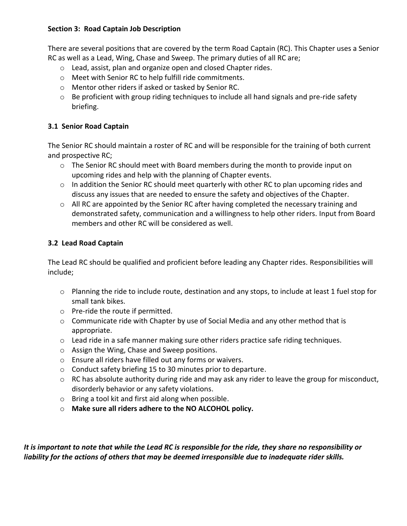#### **Section 3: Road Captain Job Description**

There are several positions that are covered by the term Road Captain (RC). This Chapter uses a Senior RC as well as a Lead, Wing, Chase and Sweep. The primary duties of all RC are;

- o Lead, assist, plan and organize open and closed Chapter rides.
- o Meet with Senior RC to help fulfill ride commitments.
- o Mentor other riders if asked or tasked by Senior RC.
- o Be proficient with group riding techniques to include all hand signals and pre-ride safety briefing.

#### **3.1 Senior Road Captain**

The Senior RC should maintain a roster of RC and will be responsible for the training of both current and prospective RC;

- $\circ$  The Senior RC should meet with Board members during the month to provide input on upcoming rides and help with the planning of Chapter events.
- $\circ$  In addition the Senior RC should meet quarterly with other RC to plan upcoming rides and discuss any issues that are needed to ensure the safety and objectives of the Chapter.
- o All RC are appointed by the Senior RC after having completed the necessary training and demonstrated safety, communication and a willingness to help other riders. Input from Board members and other RC will be considered as well.

#### **3.2 Lead Road Captain**

The Lead RC should be qualified and proficient before leading any Chapter rides. Responsibilities will include;

- o Planning the ride to include route, destination and any stops, to include at least 1 fuel stop for small tank bikes.
- o Pre-ride the route if permitted.
- $\circ$  Communicate ride with Chapter by use of Social Media and any other method that is appropriate.
- $\circ$  Lead ride in a safe manner making sure other riders practice safe riding techniques.
- o Assign the Wing, Chase and Sweep positions.
- o Ensure all riders have filled out any forms or waivers.
- o Conduct safety briefing 15 to 30 minutes prior to departure.
- o RC has absolute authority during ride and may ask any rider to leave the group for misconduct, disorderly behavior or any safety violations.
- o Bring a tool kit and first aid along when possible.
- o **Make sure all riders adhere to the NO ALCOHOL policy.**

*It is important to note that while the Lead RC is responsible for the ride, they share no responsibility or liability for the actions of others that may be deemed irresponsible due to inadequate rider skills.*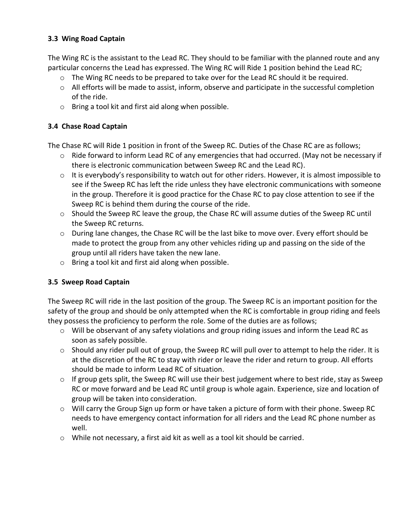#### **3.3 Wing Road Captain**

The Wing RC is the assistant to the Lead RC. They should to be familiar with the planned route and any particular concerns the Lead has expressed. The Wing RC will Ride 1 position behind the Lead RC;

- $\circ$  The Wing RC needs to be prepared to take over for the Lead RC should it be required.
- o All efforts will be made to assist, inform, observe and participate in the successful completion of the ride.
- o Bring a tool kit and first aid along when possible.

#### **3.4 Chase Road Captain**

The Chase RC will Ride 1 position in front of the Sweep RC. Duties of the Chase RC are as follows;

- $\circ$  Ride forward to inform Lead RC of any emergencies that had occurred. (May not be necessary if there is electronic communication between Sweep RC and the Lead RC).
- o It is everybody's responsibility to watch out for other riders. However, it is almost impossible to see if the Sweep RC has left the ride unless they have electronic communications with someone in the group. Therefore it is good practice for the Chase RC to pay close attention to see if the Sweep RC is behind them during the course of the ride.
- $\circ$  Should the Sweep RC leave the group, the Chase RC will assume duties of the Sweep RC until the Sweep RC returns.
- $\circ$  During lane changes, the Chase RC will be the last bike to move over. Every effort should be made to protect the group from any other vehicles riding up and passing on the side of the group until all riders have taken the new lane.
- o Bring a tool kit and first aid along when possible.

#### **3.5 Sweep Road Captain**

The Sweep RC will ride in the last position of the group. The Sweep RC is an important position for the safety of the group and should be only attempted when the RC is comfortable in group riding and feels they possess the proficiency to perform the role. Some of the duties are as follows;

- $\circ$  Will be observant of any safety violations and group riding issues and inform the Lead RC as soon as safely possible.
- o Should any rider pull out of group, the Sweep RC will pull over to attempt to help the rider. It is at the discretion of the RC to stay with rider or leave the rider and return to group. All efforts should be made to inform Lead RC of situation.
- o If group gets split, the Sweep RC will use their best judgement where to best ride, stay as Sweep RC or move forward and be Lead RC until group is whole again. Experience, size and location of group will be taken into consideration.
- o Will carry the Group Sign up form or have taken a picture of form with their phone. Sweep RC needs to have emergency contact information for all riders and the Lead RC phone number as well.
- o While not necessary, a first aid kit as well as a tool kit should be carried.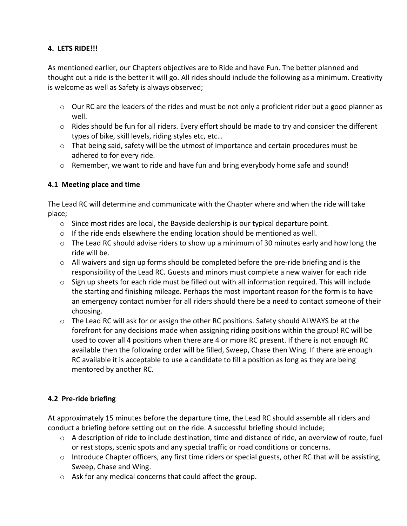#### **4. LETS RIDE!!!**

As mentioned earlier, our Chapters objectives are to Ride and have Fun. The better planned and thought out a ride is the better it will go. All rides should include the following as a minimum. Creativity is welcome as well as Safety is always observed;

- $\circ$  Our RC are the leaders of the rides and must be not only a proficient rider but a good planner as well.
- $\circ$  Rides should be fun for all riders. Every effort should be made to try and consider the different types of bike, skill levels, riding styles etc, etc…
- o That being said, safety will be the utmost of importance and certain procedures must be adhered to for every ride.
- $\circ$  Remember, we want to ride and have fun and bring everybody home safe and sound!

#### **4.1 Meeting place and time**

The Lead RC will determine and communicate with the Chapter where and when the ride will take place;

- $\circ$  Since most rides are local, the Bayside dealership is our typical departure point.
- $\circ$  If the ride ends elsewhere the ending location should be mentioned as well.
- $\circ$  The Lead RC should advise riders to show up a minimum of 30 minutes early and how long the ride will be.
- $\circ$  All waivers and sign up forms should be completed before the pre-ride briefing and is the responsibility of the Lead RC. Guests and minors must complete a new waiver for each ride
- $\circ$  Sign up sheets for each ride must be filled out with all information required. This will include the starting and finishing mileage. Perhaps the most important reason for the form is to have an emergency contact number for all riders should there be a need to contact someone of their choosing.
- $\circ$  The Lead RC will ask for or assign the other RC positions. Safety should ALWAYS be at the forefront for any decisions made when assigning riding positions within the group! RC will be used to cover all 4 positions when there are 4 or more RC present. If there is not enough RC available then the following order will be filled, Sweep, Chase then Wing. If there are enough RC available it is acceptable to use a candidate to fill a position as long as they are being mentored by another RC.

#### **4.2 Pre-ride briefing**

At approximately 15 minutes before the departure time, the Lead RC should assemble all riders and conduct a briefing before setting out on the ride. A successful briefing should include;

- o A description of ride to include destination, time and distance of ride, an overview of route, fuel or rest stops, scenic spots and any special traffic or road conditions or concerns.
- $\circ$  Introduce Chapter officers, any first time riders or special guests, other RC that will be assisting, Sweep, Chase and Wing.
- o Ask for any medical concerns that could affect the group.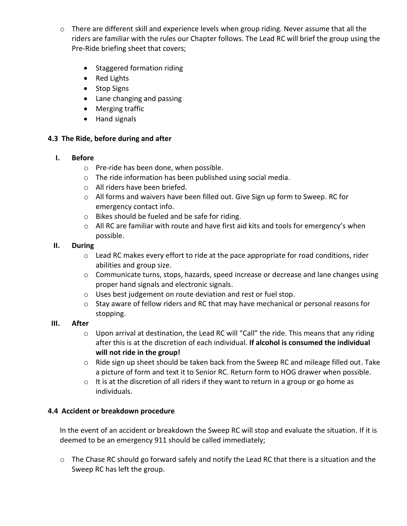- o There are different skill and experience levels when group riding. Never assume that all the riders are familiar with the rules our Chapter follows. The Lead RC will brief the group using the Pre-Ride briefing sheet that covers;
	- Staggered formation riding
	- Red Lights
	- Stop Signs
	- Lane changing and passing
	- Merging traffic
	- Hand signals

#### **4.3 The Ride, before during and after**

#### **I. Before**

- o Pre-ride has been done, when possible.
- o The ride information has been published using social media.
- o All riders have been briefed.
- o All forms and waivers have been filled out. Give Sign up form to Sweep. RC for emergency contact info.
- o Bikes should be fueled and be safe for riding.
- o All RC are familiar with route and have first aid kits and tools for emergency's when possible.

#### **II. During**

- o Lead RC makes every effort to ride at the pace appropriate for road conditions, rider abilities and group size.
- o Communicate turns, stops, hazards, speed increase or decrease and lane changes using proper hand signals and electronic signals.
- o Uses best judgement on route deviation and rest or fuel stop.
- o Stay aware of fellow riders and RC that may have mechanical or personal reasons for stopping.

#### **III. After**

- $\circ$  Upon arrival at destination, the Lead RC will "Call" the ride. This means that any riding after this is at the discretion of each individual. **If alcohol is consumed the individual will not ride in the group!**
- o Ride sign up sheet should be taken back from the Sweep RC and mileage filled out. Take a picture of form and text it to Senior RC. Return form to HOG drawer when possible.
- $\circ$  It is at the discretion of all riders if they want to return in a group or go home as individuals.

#### **4.4 Accident or breakdown procedure**

In the event of an accident or breakdown the Sweep RC will stop and evaluate the situation. If it is deemed to be an emergency 911 should be called immediately;

o The Chase RC should go forward safely and notify the Lead RC that there is a situation and the Sweep RC has left the group.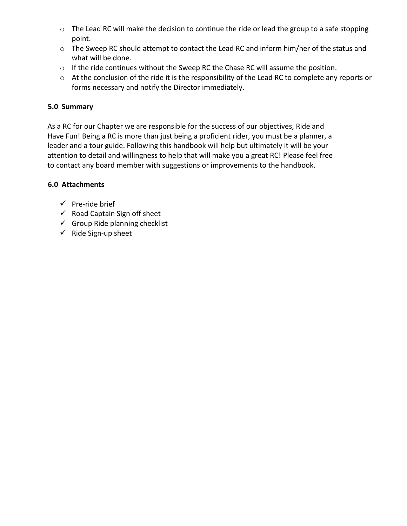- o The Lead RC will make the decision to continue the ride or lead the group to a safe stopping point.
- o The Sweep RC should attempt to contact the Lead RC and inform him/her of the status and what will be done.
- o If the ride continues without the Sweep RC the Chase RC will assume the position.
- o At the conclusion of the ride it is the responsibility of the Lead RC to complete any reports or forms necessary and notify the Director immediately.

#### **5.0 Summary**

 As a RC for our Chapter we are responsible for the success of our objectives, Ride and Have Fun! Being a RC is more than just being a proficient rider, you must be a planner, a leader and a tour guide. Following this handbook will help but ultimately it will be your attention to detail and willingness to help that will make you a great RC! Please feel free to contact any board member with suggestions or improvements to the handbook.

#### **6.0 Attachments**

- $\checkmark$  Pre-ride brief
- $\checkmark$  Road Captain Sign off sheet
- $\checkmark$  Group Ride planning checklist
- $\checkmark$  Ride Sign-up sheet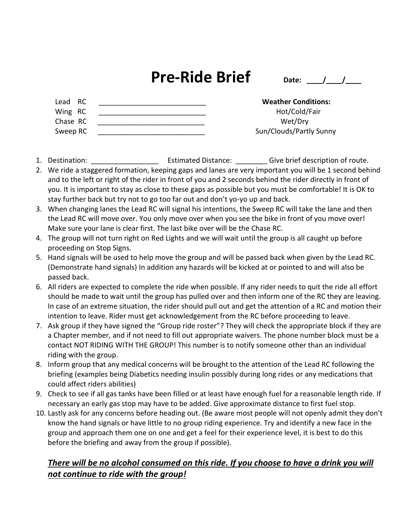### **Pre-Ride Brief**  $_{\text{Date:}}$   $_{\text{Date:}}$

| Lead RC  | <b>Weather Conditions:</b> |
|----------|----------------------------|
| Wing RC  | Hot/Cold/Fair              |
| Chase RC | Wet/Drv                    |
| Sweep RC | Sun/Clouds/Partly Sunny    |

- 1. Destination: The stimated Distance: Give brief description of route.
- 2. We ride a staggered formation, keeping gaps and lanes are very important you will be 1 second behind and to the left or right of the rider in front of you and 2 seconds behind the rider directly in front of you. It is important to stay as close to these gaps as possible but you must be comfortable! It is OK to stay further back but try not to go too far out and don't yo-yo up and back.
- 3. When changing lanes the Lead RC will signal his intentions, the Sweep RC will take the lane and then the Lead RC will move over. You only move over when you see the bike in front of you move over! Make sure your lane is clear first. The last bike over will be the Chase RC.
- 4. The group will not turn right on Red Lights and we will wait until the group is all caught up before proceeding on Stop Signs.
- 5. Hand signals will be used to help move the group and will be passed back when given by the Lead RC. (Demonstrate hand signals) In addition any hazards will be kicked at or pointed to and will also be passed back.
- 6. All riders are expected to complete the ride when possible. If any rider needs to quit the ride all effort should be made to wait until the group has pulled over and then inform one of the RC they are leaving. In case of an extreme situation, the rider should pull out and get the attention of a RC and motion their intention to leave. Rider must get acknowledgement from the RC before proceeding to leave.
- 7. Ask group if they have signed the "Group ride roster"? They will check the appropriate block if they are a Chapter member, and if not need to fill out appropriate waivers. The phone number block must be a contact NOT RIDING WITH THE GROUP! This number is to notify someone other than an individual riding with the group.
- 8. Inform group that any medical concerns will be brought to the attention of the Lead RC following the briefing (examples being Diabetics needing insulin possibly during long rides or any medications that could affect riders abilities)
- 9. Check to see if all gas tanks have been filled or at least have enough fuel for a reasonable length ride. If necessary an early gas stop may have to be added. Give approximate distance to first fuel stop.
- 10. Lastly ask for any concerns before heading out. (Be aware most people will not openly admit they don't know the hand signals or have little to no group riding experience. Try and identify a new face in the group and approach them one on one and get a feel for their experience level, it is best to do this before the briefing and away from the group if possible).

#### *There will be no alcohol consumed on this ride. If you choose to have a drink you will not continue to ride with the group!*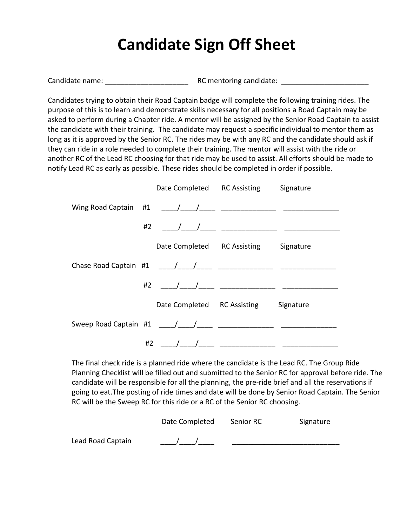### **Candidate Sign Off Sheet**

Candidate name: \_\_\_\_\_\_\_\_\_\_\_\_\_\_\_\_\_\_\_\_\_ RC mentoring candidate: \_\_\_\_\_\_\_\_\_\_\_\_\_\_\_\_\_\_\_\_\_\_

Candidates trying to obtain their Road Captain badge will complete the following training rides. The purpose of this is to learn and demonstrate skills necessary for all positions a Road Captain may be asked to perform during a Chapter ride. A mentor will be assigned by the Senior Road Captain to assist the candidate with their training. The candidate may request a specific individual to mentor them as long as it is approved by the Senior RC. The rides may be with any RC and the candidate should ask if they can ride in a role needed to complete their training. The mentor will assist with the ride or another RC of the Lead RC choosing for that ride may be used to assist. All efforts should be made to notify Lead RC as early as possible. These rides should be completed in order if possible.

|                           |    | Date Completed RC Assisting | Signature |
|---------------------------|----|-----------------------------|-----------|
|                           |    |                             |           |
|                           | #2 |                             |           |
|                           |    | Date Completed RC Assisting | Signature |
|                           |    |                             |           |
|                           | #2 |                             |           |
|                           |    | Date Completed RC Assisting | Signature |
| Sweep Road Captain #1 / / |    |                             |           |
|                           | #2 |                             |           |

The final check ride is a planned ride where the candidate is the Lead RC. The Group Ride Planning Checklist will be filled out and submitted to the Senior RC for approval before ride. The candidate will be responsible for all the planning, the pre-ride brief and all the reservations if going to eat.The posting of ride times and date will be done by Senior Road Captain. The Senior RC will be the Sweep RC for this ride or a RC of the Senior RC choosing.

|                   | Date Completed | Senior RC | Signature |
|-------------------|----------------|-----------|-----------|
| Lead Road Captain |                |           |           |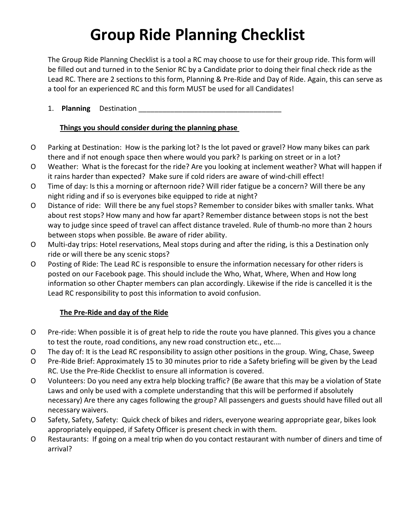# **Group Ride Planning Checklist**

The Group Ride Planning Checklist is a tool a RC may choose to use for their group ride. This form will be filled out and turned in to the Senior RC by a Candidate prior to doing their final check ride as the Lead RC. There are 2 sections to this form, Planning & Pre-Ride and Day of Ride. Again, this can serve as a tool for an experienced RC and this form MUST be used for all Candidates!

#### 1. **Planning** Destination \_\_\_\_\_\_\_\_\_\_\_\_\_\_\_\_\_\_\_\_\_\_\_\_\_\_\_\_\_\_\_\_\_\_\_\_

#### **Things you should consider during the planning phase**

- O Parking at Destination: How is the parking lot? Is the lot paved or gravel? How many bikes can park there and if not enough space then where would you park? Is parking on street or in a lot?
- O Weather: What is the forecast for the ride? Are you looking at inclement weather? What will happen if it rains harder than expected? Make sure if cold riders are aware of wind-chill effect!
- O Time of day: Is this a morning or afternoon ride? Will rider fatigue be a concern? Will there be any night riding and if so is everyones bike equipped to ride at night?
- O Distance of ride: Will there be any fuel stops? Remember to consider bikes with smaller tanks. What about rest stops? How many and how far apart? Remember distance between stops is not the best way to judge since speed of travel can affect distance traveled. Rule of thumb-no more than 2 hours between stops when possible. Be aware of rider ability.
- O Multi-day trips: Hotel reservations, Meal stops during and after the riding, is this a Destination only ride or will there be any scenic stops?
- O Posting of Ride: The Lead RC is responsible to ensure the information necessary for other riders is posted on our Facebook page. This should include the Who, What, Where, When and How long information so other Chapter members can plan accordingly. Likewise if the ride is cancelled it is the Lead RC responsibility to post this information to avoid confusion.

#### **The Pre-Ride and day of the Ride**

- O Pre-ride: When possible it is of great help to ride the route you have planned. This gives you a chance to test the route, road conditions, any new road construction etc., etc.…
- O The day of: It is the Lead RC responsibility to assign other positions in the group. Wing, Chase, Sweep
- O Pre-Ride Brief: Approximately 15 to 30 minutes prior to ride a Safety briefing will be given by the Lead RC. Use the Pre-Ride Checklist to ensure all information is covered.
- O Volunteers: Do you need any extra help blocking traffic? (Be aware that this may be a violation of State Laws and only be used with a complete understanding that this will be performed if absolutely necessary) Are there any cages following the group? All passengers and guests should have filled out all necessary waivers.
- O Safety, Safety, Safety: Quick check of bikes and riders, everyone wearing appropriate gear, bikes look appropriately equipped, if Safety Officer is present check in with them.
- O Restaurants: If going on a meal trip when do you contact restaurant with number of diners and time of arrival?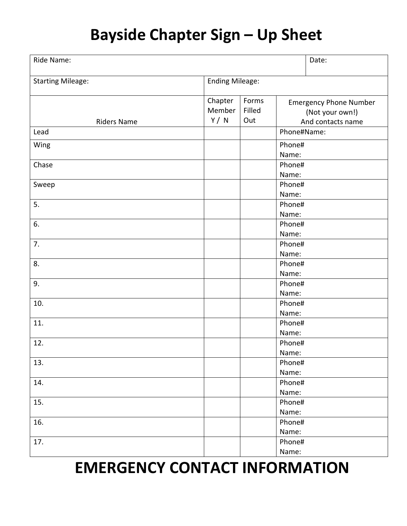# **Bayside Chapter Sign – Up Sheet**

| Ride Name:               |                            |                        | Date:                                                                 |  |  |
|--------------------------|----------------------------|------------------------|-----------------------------------------------------------------------|--|--|
| <b>Starting Mileage:</b> | <b>Ending Mileage:</b>     |                        |                                                                       |  |  |
| <b>Riders Name</b>       | Chapter<br>Member<br>Y / N | Forms<br>Filled<br>Out | <b>Emergency Phone Number</b><br>(Not your own!)<br>And contacts name |  |  |
| Lead                     |                            |                        | Phone#Name:                                                           |  |  |
| Wing                     |                            |                        | Phone#<br>Name:                                                       |  |  |
| Chase                    |                            |                        | Phone#<br>Name:                                                       |  |  |
| Sweep                    |                            |                        | Phone#<br>Name:                                                       |  |  |
| 5.                       |                            |                        | Phone#<br>Name:                                                       |  |  |
| 6.                       |                            |                        | Phone#<br>Name:                                                       |  |  |
| 7.                       |                            |                        | Phone#<br>Name:                                                       |  |  |
| 8.                       |                            |                        | Phone#<br>Name:                                                       |  |  |
| 9.                       |                            |                        | Phone#<br>Name:                                                       |  |  |
| 10.                      |                            |                        | Phone#<br>Name:                                                       |  |  |
| 11.                      |                            |                        | Phone#<br>Name:                                                       |  |  |
| 12.                      |                            |                        | Phone#<br>Name:                                                       |  |  |
| 13.                      |                            |                        | Phone#<br>Name:                                                       |  |  |
| 14.                      |                            |                        | Phone#<br>Name:                                                       |  |  |
| 15.                      |                            |                        | Phone#<br>Name:                                                       |  |  |
| 16.                      |                            |                        | Phone#<br>Name:                                                       |  |  |
| 17.                      |                            |                        | Phone#<br>Name:                                                       |  |  |
|                          |                            |                        |                                                                       |  |  |

### **EMERGENCY CONTACT INFORMATION**